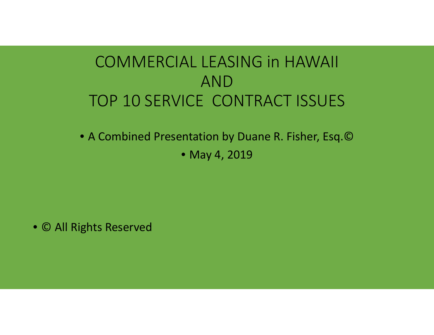### COMMERCIAL LEASING in HAWAIIANDTOP 10 SERVICE CONTRACT ISSUES

• A Combined Presentation by Duane R. Fisher, Esq.©

• May 4, 2019

• © All Rights Reserved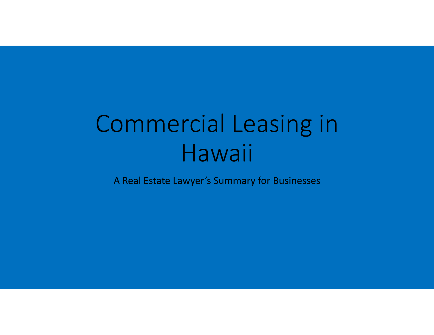# Commercial Leasing in Hawaii

A Real Estate Lawyer's Summary for Businesses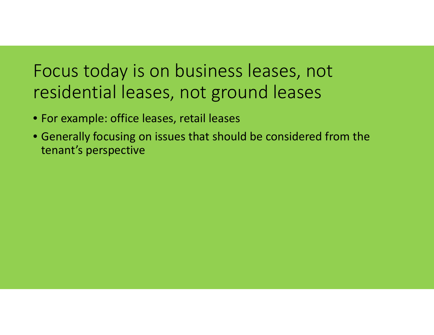# Focus today is on business leases, not residential leases, not ground leases

- For example: office leases, retail leases
- Generally focusing on issues that should be considered from the tenant's perspective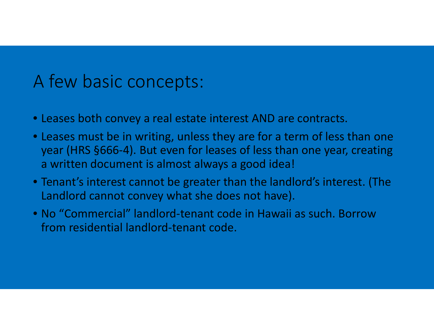### A few basic concepts:

- Leases both convey a real estate interest AND are contracts.
- Leases must be in writing, unless they are for a term of less than one year (HRS §666-4). But even for leases of less than one year, creating a written document is almost always a good idea!
- Tenant's interest cannot be greater than the landlord's interest. (The Landlord cannot convey what she does not have).
- No "Commercial" landlord-tenant code in Hawaii as such. Borrow from residential landlord-tenant code.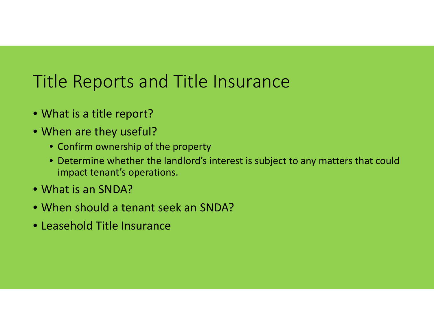# Title Reports and Title Insurance

- What is a title report?
- When are they useful?
	- Confirm ownership of the property
	- Determine whether the landlord's interest is subject to any matters that could impact tenant's operations.
- What is an SNDA?
- When should a tenant seek an SNDA?
- Leasehold Title Insurance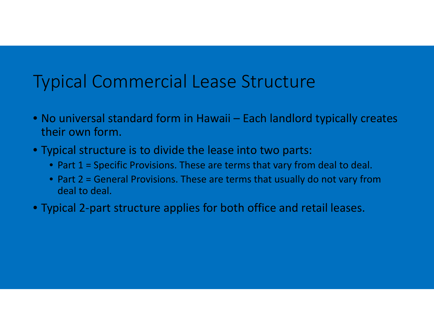# Typical Commercial Lease Structure

- No universal standard form in Hawaii Each landlord typically creates their own form.
- Typical structure is to divide the lease into two parts:
	- Part 1 = Specific Provisions. These are terms that vary from deal to deal.
	- Part 2 = General Provisions. These are terms that usually do not vary from deal to deal.
- Typical 2-part structure applies for both office and retail leases.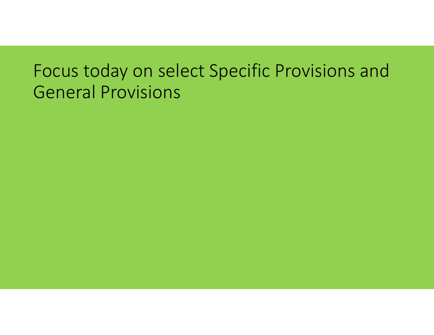# Focus today on select Specific Provisions and General Provisions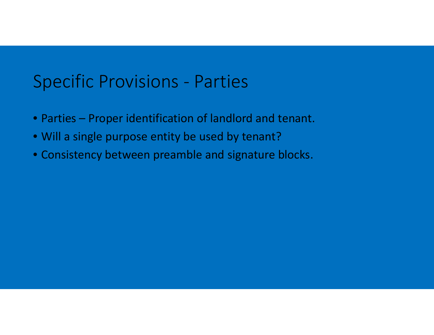### Specific Provisions - Parties

- Parties Proper identification of landlord and tenant.
- Will a single purpose entity be used by tenant?
- Consistency between preamble and signature blocks.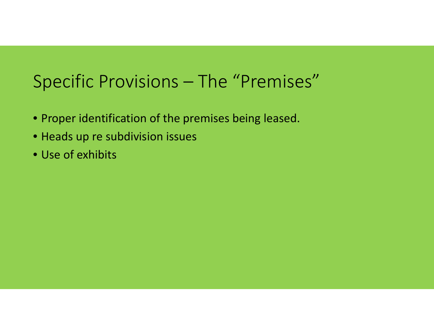# Specific Provisions – The "Premises"

- Proper identification of the premises being leased.
- Heads up re subdivision issues
- Use of exhibits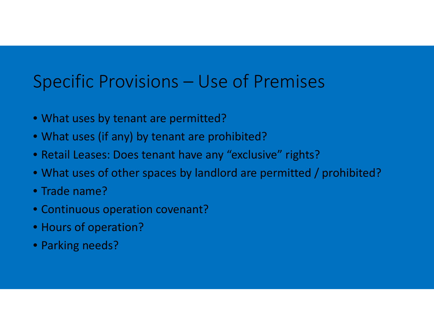### Specific Provisions – Use of Premises

- What uses by tenant are permitted?
- What uses (if any) by tenant are prohibited?
- Retail Leases: Does tenant have any "exclusive" rights?
- What uses of other spaces by landlord are permitted / prohibited?
- Trade name?
- Continuous operation covenant?
- Hours of operation?
- Parking needs?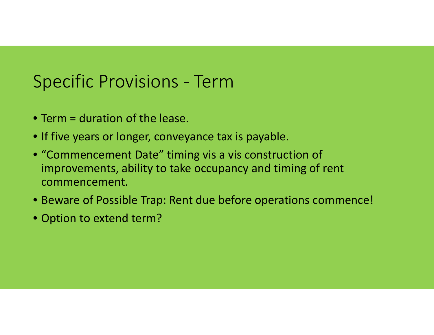# Specific Provisions - Term

- Term = duration of the lease.
- If five years or longer, conveyance tax is payable.
- "Commencement Date" timing vis a vis construction of improvements, ability to take occupancy and timing of rent commencement.
- Beware of Possible Trap: Rent due before operations commence!
- Option to extend term?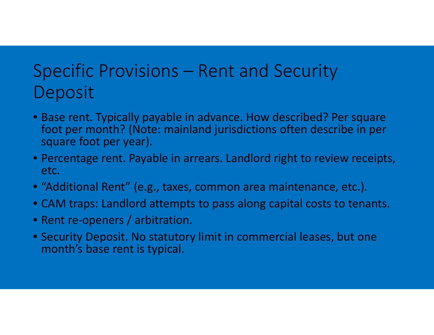# Specific Provisions – Rent and Security Deposit

- Base rent. Typically payable in advance. How described? Per square foot per month? (Note: mainland jurisdictions often describe in per square foot per year).
- Percentage rent. Payable in arrears. Landlord right to review receipts, etc.
- "Additional Rent" (e.g., taxes, common area maintenance, etc.).
- CAM traps: Landlord attempts to pass along capital costs to tenants.
- Rent re-openers / arbitration.
- Security Deposit. No statutory limit in commercial leases, but one month's base rent is typical.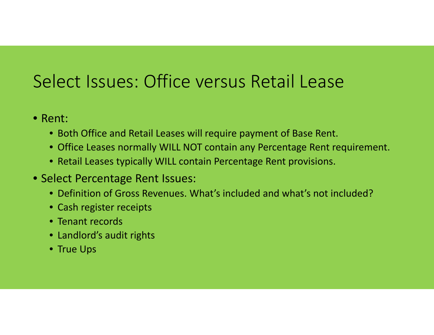# Select Issues: Office versus Retail Lease

- Rent:
	- Both Office and Retail Leases will require payment of Base Rent.
	- Office Leases normally WILL NOT contain any Percentage Rent requirement.
	- Retail Leases typically WILL contain Percentage Rent provisions.
- Select Percentage Rent Issues:
	- Definition of Gross Revenues. What's included and what's not included?
	- Cash register receipts
	- Tenant records
	- Landlord's audit rights
	- True Ups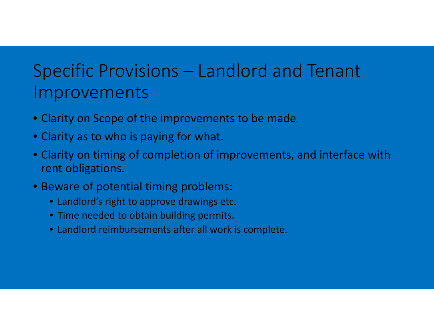# Specific Provisions – Landlord and Tenant Improvements

- Clarity on Scope of the improvements to be made.
- Clarity as to who is paying for what.
- Clarity on timing of completion of improvements, and interface with rent obligations.
- Beware of potential timing problems:
	- Landlord's right to approve drawings etc.
	- Time needed to obtain building permits.
	- Landlord reimbursements after all work is complete.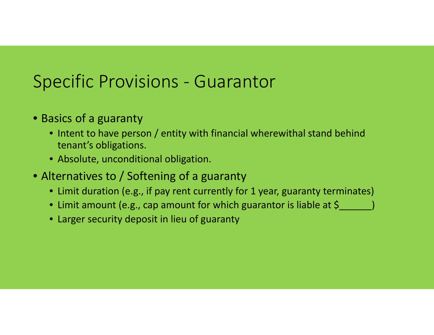# Specific Provisions - Guarantor

- Basics of a guaranty
	- Intent to have person / entity with financial wherewithal stand behind tenant's obligations.
	- Absolute, unconditional obligation.
- Alternatives to / Softening of a guaranty
	- Limit duration (e.g., if pay rent currently for 1 year, guaranty terminates)
	- $\bullet\,$  Limit amount (e.g., cap amount for which guarantor is liable at  $\zeta_{\_\_\_\_\_\_\_}$
	- Larger security deposit in lieu of guaranty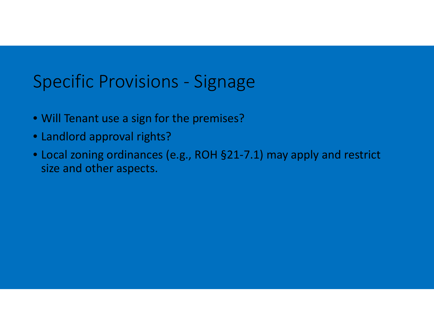### Specific Provisions - Signage

- Will Tenant use a sign for the premises?
- Landlord approval rights?
- Local zoning ordinances (e.g., ROH §21-7.1) may apply and restrict size and other aspects.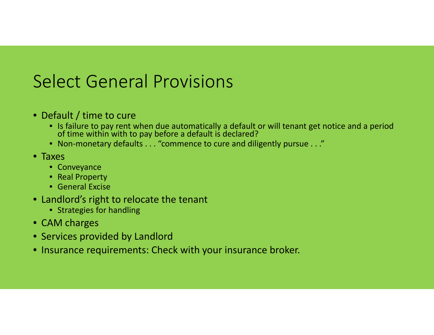# Select General Provisions

- Default / time to cure
	- Is failure to pay rent when due automatically a default or will tenant get notice and a period of time within with to pay before a default is declared?
	- Non-monetary defaults . . . "commence to cure and diligently pursue . . ."
- Taxes
	- Conveyance
	- Real Property
	- General Excise
- Landlord's right to relocate the tenant
	- Strategies for handling
- CAM charges
- Services provided by Landlord
- Insurance requirements: Check with your insurance broker.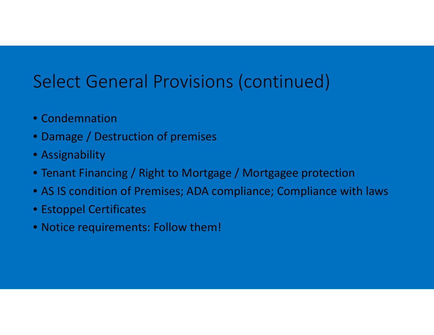# Select General Provisions (continued)

- Condemnation
- Damage / Destruction of premises
- Assignability
- Tenant Financing / Right to Mortgage / Mortgagee protection
- AS IS condition of Premises; ADA compliance; Compliance with laws
- Estoppel Certificates
- Notice requirements: Follow them!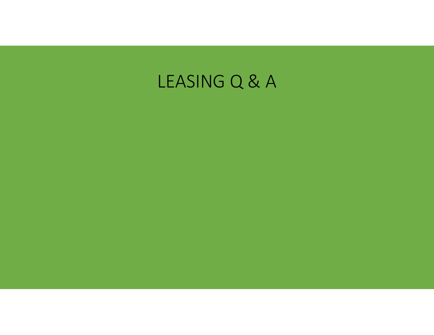# LEASING Q & A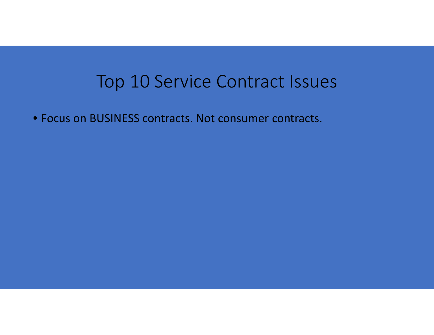### Top 10 Service Contract Issues

• Focus on BUSINESS contracts. Not consumer contracts.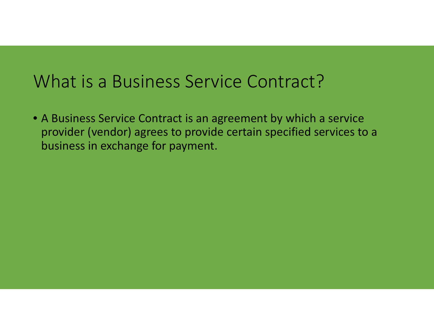### What is a Business Service Contract?

• A Business Service Contract is an agreement by which a service provider (vendor) agrees to provide certain specified services to a business in exchange for payment.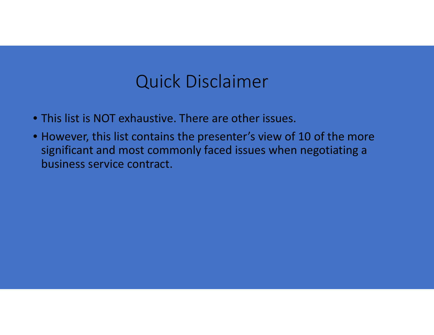### Quick Disclaimer

- This list is NOT exhaustive. There are other issues.
- However, this list contains the presenter's view of 10 of the more significant and most commonly faced issues when negotiating a business service contract.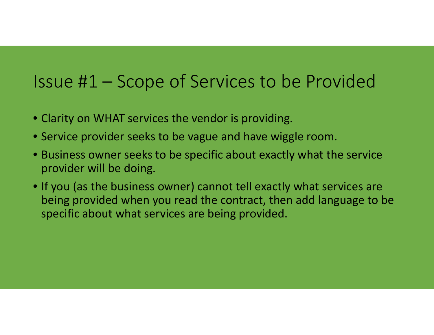## Issue #1 – Scope of Services to be Provided

- Clarity on WHAT services the vendor is providing.
- Service provider seeks to be vague and have wiggle room.
- Business owner seeks to be specific about exactly what the service provider will be doing.
- If you (as the business owner) cannot tell exactly what services are being provided when you read the contract, then add language to be specific about what services are being provided.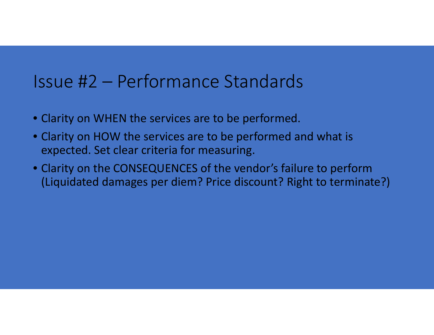#### Issue #2 – Performance Standards

- Clarity on WHEN the services are to be performed.
- Clarity on HOW the services are to be performed and what is expected. Set clear criteria for measuring.
- Clarity on the CONSEQUENCES of the vendor's failure to perform (Liquidated damages per diem? Price discount? Right to terminate?)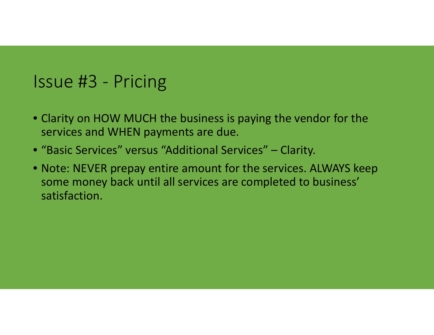### Issue #3 - Pricing

- Clarity on HOW MUCH the business is paying the vendor for the services and WHEN payments are due.
- "Basic Services" versus "Additional Services" Clarity.
- Note: NEVER prepay entire amount for the services. ALWAYS keep some money back until all services are completed to business' satisfaction.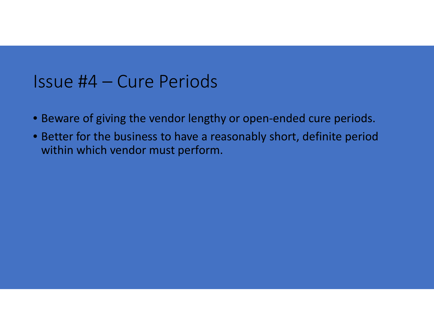#### Issue #4 – Cure Periods

- Beware of giving the vendor lengthy or open-ended cure periods.
- Better for the business to have a reasonably short, definite period within which vendor must perform.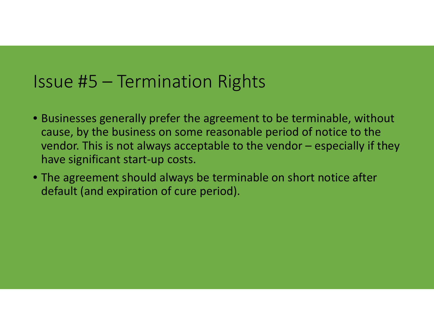### Issue #5 – Termination Rights

- Businesses generally prefer the agreement to be terminable, without cause, by the business on some reasonable period of notice to the vendor. This is not always acceptable to the vendor – especially if they have significant start-up costs.
- The agreement should always be terminable on short notice after default (and expiration of cure period).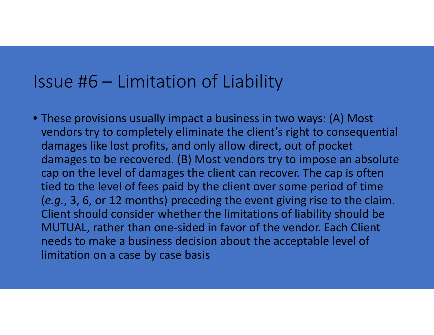#### Issue #6 – Limitation of Liability

• These provisions usually impact a business in two ways: (A) Most vendors try to completely eliminate the client's right to consequential damages like lost profits, and only allow direct, out of pocket damages to be recovered. (B) Most vendors try to impose an absolute cap on the level of damages the client can recover. The cap is often tied to the level of fees paid by the client over some period of time (*e.g.*, 3, 6, or 12 months) preceding the event giving rise to the claim. Client should consider whether the limitations of liability should be MUTUAL, rather than one-sided in favor of the vendor. Each Client needs to make a business decision about the acceptable level of limitation on a case by case basis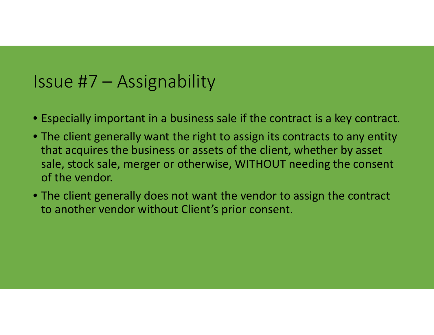#### Issue #7 – Assignability

- Especially important in a business sale if the contract is a key contract.
- The client generally want the right to assign its contracts to any entity that acquires the business or assets of the client, whether by asset sale, stock sale, merger or otherwise, WITHOUT needing the consent of the vendor.
- The client generally does not want the vendor to assign the contract to another vendor without Client's prior consent.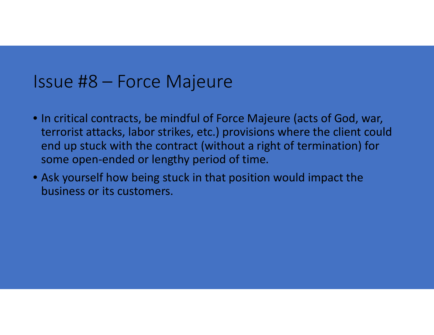#### Issue #8 – Force Majeure

- In critical contracts, be mindful of Force Majeure (acts of God, war, terrorist attacks, labor strikes, etc.) provisions where the client could end up stuck with the contract (without a right of termination) for some open-ended or lengthy period of time.
- Ask yourself how being stuck in that position would impact the business or its customers.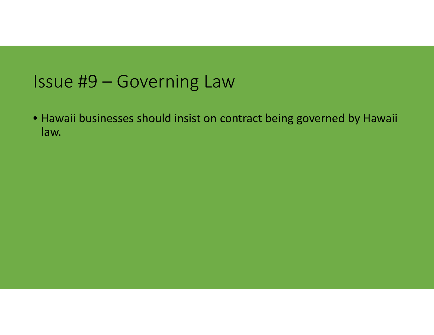### Issue #9 – Governing Law

• Hawaii businesses should insist on contract being governed by Hawaii law.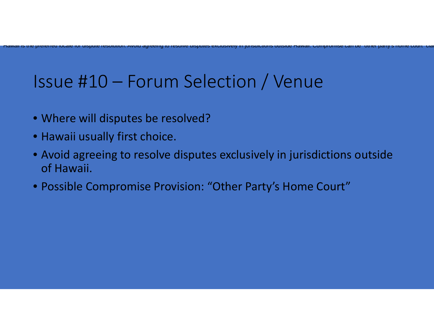# Issue #10 – Forum Selection / Venue

preferred locale for dispute resolution. Avoid agreeing to resolve disputes exclusively in jurisdictions outsid

- Where will disputes be resolved?
- Hawaii usually first choice.

 $\overline{\mathsf{M}}$ awaii iss trie

> • Avoid agreeing to resolve disputes exclusively in jurisdictions outside of Hawaii.

e

Hawaii. Compromise can be other party <sup>s</sup> home court clau

• Possible Compromise Provision: "Other Party's Home Court"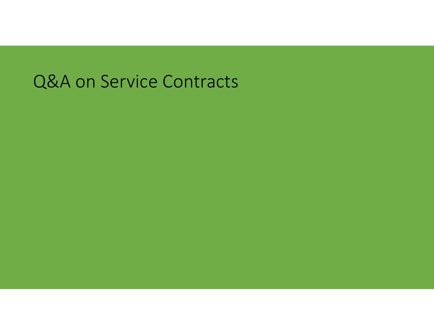# Q&A on Service Contracts